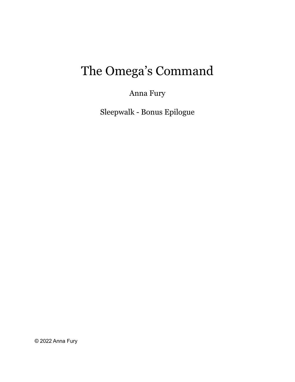# The Omega's Command

Anna Fury

Sleepwalk - Bonus Epilogue

© 2022 Anna Fury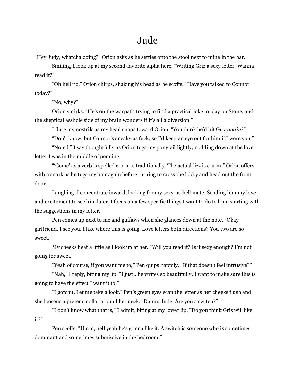### Jude

"Hey Judy, whatcha doing?" Orion asks as he settles onto the stool next to mine in the bar.

Smiling, I look up at my second-favorite alpha here. "Writing Griz a sexy letter. Wanna read it?"

"Oh hell no," Orion chirps, shaking his head as he scoffs. "Have you talked to Connor today?"

"No, why?"

Orion smirks. "He's on the warpath trying to find a practical joke to play on Stone, and the skeptical asshole side of my brain wonders if it's all a diversion."

I flare my nostrils as my head snaps toward Orion. "You think he'd hit Griz *again*?"

"Don't know, but Connor's sneaky as fuck, so I'd keep an eye out for him if I were you."

"Noted," I say thoughtfully as Orion tugs my ponytail lightly, nodding down at the love letter I was in the middle of penning.

"'Come' as a verb is spelled c-o-m-e traditionally. The actual jizz is c-u-m," Orion offers with a snark as he tugs my hair again before turning to cross the lobby and head out the front door.

Laughing, I concentrate inward, looking for my sexy-as-hell mate. Sending him my love and excitement to see him later, I focus on a few specific things I want to do to him, starting with the suggestions in my letter.

Pen comes up next to me and guffaws when she glances down at the note. "Okay girlfriend, I see you. I like where this is going. Love letters both directions? You two are so sweet."

My cheeks heat a little as I look up at her. "Will you read it? Is it sexy enough? I'm not going for sweet."

"Yeah of course, if you want me to," Pen quips happily. "If that doesn't feel intrusive?"

"Nah," I reply, biting my lip. "I just…he writes so beautifully. I want to make sure this is going to have the effect I want it to."

"I gotchu. Let me take a look." Pen's green eyes scan the letter as her cheeks flush and she loosens a pretend collar around her neck. "Damn, Jude. Are you a switch?"

"I don't know what that is," I admit, biting at my lower lip. "Do you think Griz will like it?"

Pen scoffs. "Umm, hell yeah he's gonna like it. A switch is someone who is sometimes dominant and sometimes submissive in the bedroom."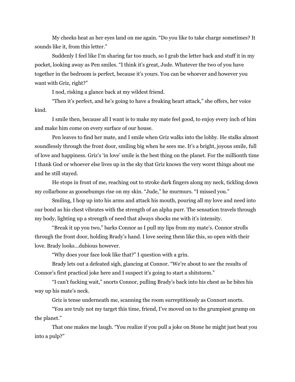My cheeks heat as her eyes land on me again. "Do you like to take charge sometimes? It sounds like it, from this letter."

Suddenly I feel like I'm sharing far too much, so I grab the letter back and stuff it in my pocket, looking away as Pen smiles. "I think it's great, Jude. Whatever the two of you have together in the bedroom is perfect, because it's yours. You can be whoever and however you want with Griz, right?"

I nod, risking a glance back at my wildest friend.

"Then it's perfect, and he's going to have a freaking heart attack," she offers, her voice kind.

I smile then, because all I want is to make my mate feel good, to enjoy every inch of him and make him come on every surface of our house.

Pen leaves to find her mate, and I smile when Griz walks into the lobby. He stalks almost soundlessly through the front door, smiling big when he sees me. It's a bright, joyous smile, full of love and happiness. Griz's 'in love' smile is the best thing on the planet. For the millionth time I thank God or whoever else lives up in the sky that Griz knows the very worst things about me and he still stayed.

He stops in front of me, reaching out to stroke dark fingers along my neck, tickling down my collarbone as goosebumps rise on my skin. "Jude," he murmurs. "I missed you."

Smiling, I hop up into his arms and attack his mouth, pouring all my love and need into our bond as his chest vibrates with the strength of an alpha purr. The sensation travels through my body, lighting up a strength of need that always shocks me with it's intensity.

"Break it up you two," barks Connor as I pull my lips from my mate's. Connor strolls through the front door, holding Brady's hand. I love seeing them like this, so open with their love. Brady looks…dubious however.

"Why does your face look like that?" I question with a grin.

Brady lets out a defeated sigh, glancing at Connor. "We're about to see the results of Connor's first practical joke here and I suspect it's going to start a shitstorm."

"I can't fucking wait," snorts Connor, pulling Brady's back into his chest as he bites his way up his mate's neck.

Griz is tense underneath me, scanning the room surreptitiously as Connort snorts.

"You are truly not my target this time, friend, I've moved on to the grumpiest grump on the planet."

That one makes me laugh. "You realize if you pull a joke on Stone he might just beat you into a pulp?"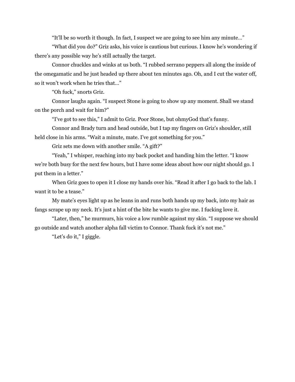"It'll be so worth it though. In fact, I suspect we are going to see him any minute…"

"What did you do?" Griz asks, his voice is cautious but curious. I know he's wondering if there's any possible way he's still actually the target.

Connor chuckles and winks at us both. "I rubbed serrano peppers all along the inside of the omegamatic and he just headed up there about ten minutes ago. Oh, and I cut the water off, so it won't work when he tries that…"

"Oh fuck," snorts Griz.

Connor laughs again. "I suspect Stone is going to show up any moment. Shall we stand on the porch and wait for him?"

"I've got to see this," I admit to Griz. Poor Stone, but ohmyGod that's funny.

Connor and Brady turn and head outside, but I tap my fingers on Griz's shoulder, still held close in his arms. "Wait a minute, mate. I've got something for you."

Griz sets me down with another smile. "A gift?"

"Yeah," I whisper, reaching into my back pocket and handing him the letter. "I know we're both busy for the next few hours, but I have some ideas about how our night should go. I put them in a letter."

When Griz goes to open it I close my hands over his. "Read it after I go back to the lab. I want it to be a tease."

My mate's eyes light up as he leans in and runs both hands up my back, into my hair as fangs scrape up my neck. It's just a hint of the bite he wants to give me. I fucking love it.

"Later, then," he murmurs, his voice a low rumble against my skin. "I suppose we should go outside and watch another alpha fall victim to Connor. Thank fuck it's not me."

"Let's do it," I giggle.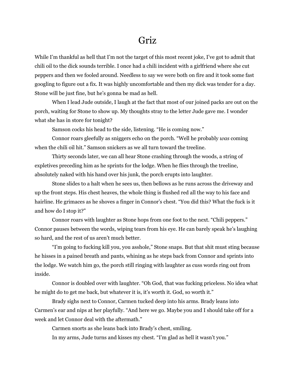### Griz

While I'm thankful as hell that I'm not the target of this most recent joke, I've got to admit that chili oil to the dick sounds terrible. I once had a chili incident with a girlfriend where she cut peppers and then we fooled around. Needless to say we were both on fire and it took some fast googling to figure out a fix. It was highly uncomfortable and then my dick was tender for a day. Stone will be just fine, but he's gonna be mad as hell.

When I lead Jude outside, I laugh at the fact that most of our joined packs are out on the porch, waiting for Stone to show up. My thoughts stray to the letter Jude gave me. I wonder what she has in store for tonight?

Samson cocks his head to the side, listening. "He is coming now."

Connor roars gleefully as sniggers echo on the porch. "Well he probably *was* coming when the chili oil hit." Samson snickers as we all turn toward the treeline.

Thirty seconds later, we can all hear Stone crashing through the woods, a string of expletives preceding him as he sprints for the lodge. When he flies through the treeline, absolutely naked with his hand over his junk, the porch erupts into laughter.

Stone slides to a halt when he sees us, then bellows as he runs across the driveway and up the front steps. His chest heaves, the whole thing is flushed red all the way to his face and hairline. He grimaces as he shoves a finger in Connor's chest. "You did this? What the fuck is it and how do I stop it?"

Connor roars with laughter as Stone hops from one foot to the next. "Chili peppers." Connor pauses between the words, wiping tears from his eye. He can barely speak he's laughing so hard, and the rest of us aren't much better.

"I'm going to fucking kill you, you asshole," Stone snaps. But that shit must sting because he hisses in a pained breath and pants, whining as he steps back from Connor and sprints into the lodge. We watch him go, the porch still ringing with laughter as cuss words ring out from inside.

Connor is doubled over with laughter. "Oh God, that was fucking priceless. No idea what he might do to get me back, but whatever it is, it's worth it. God, so worth it."

Brady sighs next to Connor, Carmen tucked deep into his arms. Brady leans into Carmen's ear and nips at her playfully. "And here we go. Maybe you and I should take off for a week and let Connor deal with the aftermath."

Carmen snorts as she leans back into Brady's chest, smiling.

In my arms, Jude turns and kisses my chest. "I'm glad as hell it wasn't you."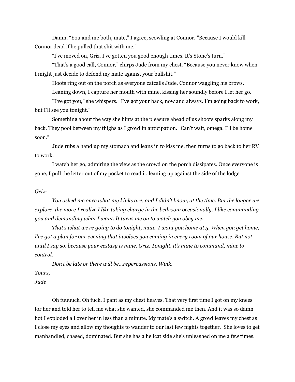Damn. "You and me both, mate," I agree, scowling at Connor. "Because I would kill Connor dead if he pulled that shit with me."

"I've moved on, Griz. I've gotten you good enough times. It's Stone's turn."

"That's a good call, Connor," chirps Jude from my chest. "Because you never know when I might just decide to defend my mate against your bullshit."

Hoots ring out on the porch as everyone catcalls Jude, Connor waggling his brows.

Leaning down, I capture her mouth with mine, kissing her soundly before I let her go.

"I've got you," she whispers. "I've got your back, now and always. I'm going back to work, but I'll see you tonight."

Something about the way she hints at the pleasure ahead of us shoots sparks along my back. They pool between my thighs as I growl in anticipation. "Can't wait, omega. I'll be home soon."

Jude rubs a hand up my stomach and leans in to kiss me, then turns to go back to her RV to work.

I watch her go, admiring the view as the crowd on the porch dissipates. Once everyone is gone, I pull the letter out of my pocket to read it, leaning up against the side of the lodge.

#### *Griz-*

*You asked me once what my kinks are, and I didn't know, at the time. But the longer we explore, the more I realize I like taking charge in the bedroom occasionally. I like commanding you and demanding what I want. It turns me on to watch you obey me.*

*That's what we're going to do tonight, mate. I want you home at 5. When you get home,* I've got a plan for our evening that involves you coming in every room of our house. But not *until I say so, because your ecstasy is mine, Griz. Tonight, it's mine to command, mine to control.*

*Don't be late or there will be…repercussions. Wink.*

*Yours,*

### *Jude*

Oh fuuuuck. Oh fuck, I pant as my chest heaves. That very first time I got on my knees for her and told her to tell me what she wanted, she commanded me then. And it was so damn hot I exploded all over her in less than a minute. My mate's a switch. A growl leaves my chest as I close my eyes and allow my thoughts to wander to our last few nights together. She loves to get manhandled, chased, dominated. But she has a hellcat side she's unleashed on me a few times.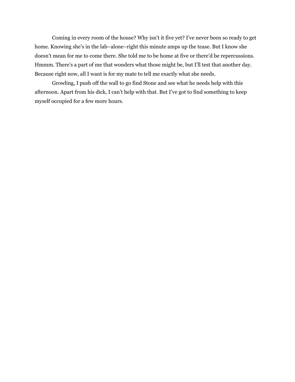Coming in every room of the house? Why isn't it five yet? I've never been so ready to get home. Knowing she's in the lab–alone–right this minute amps up the tease. But I know she doesn't mean for me to come there. She told me to be home at five or there'd be repercussions. Hmmm. There's a part of me that wonders what those might be, but I'll test that another day. Because right now, all I want is for my mate to tell me exactly what she needs.

Growling, I push off the wall to go find Stone and see what he needs help with this afternoon. Apart from his dick, I can't help with that. But I've got to find something to keep myself occupied for a few more hours.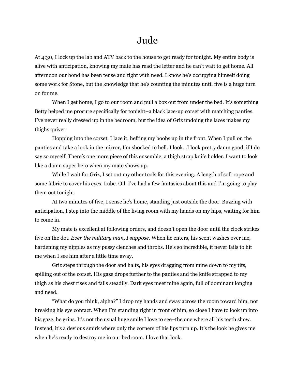## Jude

At 4:30, I lock up the lab and ATV back to the house to get ready for tonight. My entire body is alive with anticipation, knowing my mate has read the letter and he can't wait to get home. All afternoon our bond has been tense and tight with need. I know he's occupying himself doing some work for Stone, but the knowledge that he's counting the minutes until five is a huge turn on for me.

When I get home, I go to our room and pull a box out from under the bed. It's something Betty helped me procure specifically for tonight–a black lace-up corset with matching panties. I've never really dressed up in the bedroom, but the idea of Griz undoing the laces makes my thighs quiver.

Hopping into the corset, I lace it, hefting my boobs up in the front. When I pull on the panties and take a look in the mirror, I'm shocked to hell. I look…I look pretty damn good, if I do say so myself. There's one more piece of this ensemble, a thigh strap knife holder. I want to look like a damn super hero when my mate shows up.

While I wait for Griz, I set out my other tools for this evening. A length of soft rope and some fabric to cover his eyes. Lube. Oil. I've had a few fantasies about this and I'm going to play them out tonight.

At two minutes of five, I sense he's home, standing just outside the door. Buzzing with anticipation, I step into the middle of the living room with my hands on my hips, waiting for him to come in.

My mate is excellent at following orders, and doesn't open the door until the clock strikes five on the dot. *Ever the military man, I suppose.* When he enters, his scent washes over me, hardening my nipples as my pussy clenches and throbs. He's so incredible, it never fails to hit me when I see him after a little time away.

Griz steps through the door and halts, his eyes dragging from mine down to my tits, spilling out of the corset. His gaze drops further to the panties and the knife strapped to my thigh as his chest rises and falls steadily. Dark eyes meet mine again, full of dominant longing and need.

"What do you think, alpha?" I drop my hands and sway across the room toward him, not breaking his eye contact. When I'm standing right in front of him, so close I have to look up into his gaze, he grins. It's not the usual huge smile I love to see–the one where all his teeth show. Instead, it's a devious smirk where only the corners of his lips turn up. It's the look he gives me when he's ready to destroy me in our bedroom. I love that look.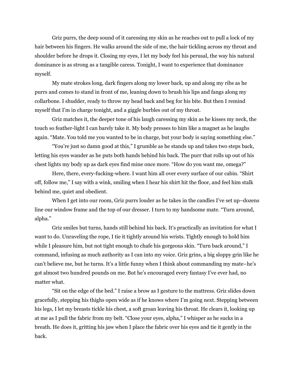Griz purrs, the deep sound of it caressing my skin as he reaches out to pull a lock of my hair between his fingers. He walks around the side of me, the hair tickling across my throat and shoulder before he drops it. Closing my eyes, I let my body feel his perusal, the way his natural dominance is as strong as a tangible caress. Tonight, I want to experience that dominance myself.

My mate strokes long, dark fingers along my lower back, up and along my ribs as he purrs and comes to stand in front of me, leaning down to brush his lips and fangs along my collarbone. I shudder, ready to throw my head back and beg for his bite. But then I remind myself that I'm in charge tonight, and a giggle burbles out of my throat.

Griz matches it, the deeper tone of his laugh caressing my skin as he kisses my neck, the touch so feather-light I can barely take it. My body presses to him like a magnet as he laughs again. "Mate. You told me you wanted to be in charge, but your body is saying something else."

"You're just so damn good at this," I grumble as he stands up and takes two steps back, letting his eyes wander as he puts both hands behind his back. The purr that rolls up out of his chest lights my body up as dark eyes find mine once more. "How do you want me, omega?"

Here, there, every-fucking-where. I want him all over every surface of our cabin. "Shirt off, follow me," I say with a wink, smiling when I hear his shirt hit the floor, and feel him stalk behind me, quiet and obedient.

When I get into our room, Griz purrs louder as he takes in the candles I've set up–dozens line our window frame and the top of our dresser. I turn to my handsome mate. "Turn around, alpha."

Griz smiles but turns, hands still behind his back. It's practically an invitation for what I want to do. Unraveling the rope, I tie it tightly around his wrists. Tightly enough to hold him while I pleasure him, but not tight enough to chafe his gorgeous skin. "Turn back around," I command, infusing as much authority as I can into my voice. Griz grins, a big sloppy grin like he can't believe me, but he turns. It's a little funny when I think about commanding my mate–he's got almost two hundred pounds on me. But he's encouraged every fantasy I've ever had, no matter what.

"Sit on the edge of the bed." I raise a brow as I gesture to the mattress. Griz slides down gracefully, stepping his thighs open wide as if he knows where I'm going next. Stepping between his legs, I let my breasts tickle his chest, a soft groan leaving his throat. He clears it, looking up at me as I pull the fabric from my belt. "Close your eyes, alpha," I whisper as he sucks in a breath. He does it, gritting his jaw when I place the fabric over his eyes and tie it gently in the back.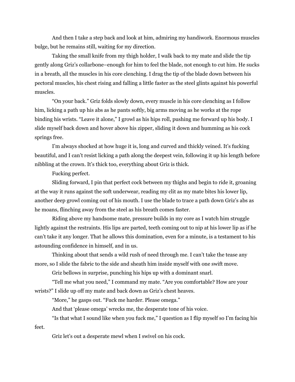And then I take a step back and look at him, admiring my handiwork. Enormous muscles bulge, but he remains still, waiting for my direction.

Taking the small knife from my thigh holder, I walk back to my mate and slide the tip gently along Griz's collarbone–enough for him to feel the blade, not enough to cut him. He sucks in a breath, all the muscles in his core clenching. I drag the tip of the blade down between his pectoral muscles, his chest rising and falling a little faster as the steel glints against his powerful muscles.

"On your back." Griz folds slowly down, every muscle in his core clenching as I follow him, licking a path up his abs as he pants softly, big arms moving as he works at the rope binding his wrists. "Leave it alone," I growl as his hips roll, pushing me forward up his body. I slide myself back down and hover above his zipper, sliding it down and humming as his cock springs free.

I'm always shocked at how huge it is, long and curved and thickly veined. It's fucking beautiful, and I can't resist licking a path along the deepest vein, following it up his length before nibbling at the crown. It's thick too, everything about Griz is thick.

Fucking perfect.

Sliding forward, I pin that perfect cock between my thighs and begin to ride it, groaning at the way it runs against the soft underwear, reading my clit as my mate bites his lower lip, another deep growl coming out of his mouth. I use the blade to trace a path down Griz's abs as he moans, flinching away from the steel as his breath comes faster.

Riding above my handsome mate, pressure builds in my core as I watch him struggle lightly against the restraints. His lips are parted, teeth coming out to nip at his lower lip as if he can't take it any longer. That he allows this domination, even for a minute, is a testament to his astounding confidence in himself, and in us.

Thinking about that sends a wild rush of need through me. I can't take the tease any more, so I slide the fabric to the side and sheath him inside myself with one swift move.

Griz bellows in surprise, punching his hips up with a dominant snarl.

"Tell me what you need," I command my mate. "Are you comfortable? How are your wrists?" I slide up off my mate and back down as Griz's chest heaves.

"More," he gasps out. "Fuck me harder. Please omega."

And that 'please omega' wrecks me, the desperate tone of his voice.

"Is that what I sound like when you fuck me," I question as I flip myself so I'm facing his feet.

Griz let's out a desperate mewl when I swivel on his cock.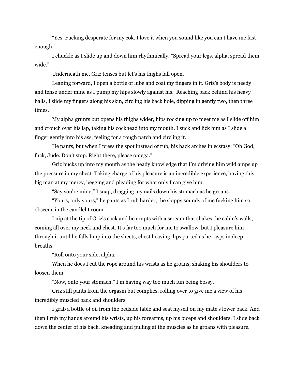"Yes. Fucking desperate for my cok. I love it when you sound like you can't have me fast enough."

I chuckle as I slide up and down him rhythmically. "Spread your legs, alpha, spread them wide."

Underneath me, Griz tenses but let's his thighs fall open.

Leaning forward, I open a bottle of lube and coat my fingers in it. Griz's body is needy and tense under mine as I pump my hips slowly against his. Reaching back behind his heavy balls, I slide my fingers along his skin, circling his back hole, dipping in gently two, then three times.

My alpha grunts but opens his thighs wider, hips rocking up to meet me as I slide off him and crouch over his lap, taking his cockhead into my mouth. I suck and lick him as I slide a finger gently into his ass, feeling for a rough patch and circling it.

He pants, but when I press the spot instead of rub, his back arches in ecstasy. "Oh God, fuck, Jude. Don't stop. Right there, please omega."

Griz bucks up into my mouth as the heady knowledge that I'm driving him wild amps up the pressure in my chest. Taking charge of his pleasure is an incredible experience, having this big man at my mercy, begging and pleading for what only I can give him.

"Say you're mine," I snap, dragging my nails down his stomach as he groans.

"Yours, only yours," he pants as I rub harder, the sloppy sounds of me fucking him so obscene in the candlelit room.

I nip at the tip of Griz's cock and he erupts with a scream that shakes the cabin's walls, coming all over my neck and chest. It's far too much for me to swallow, but I pleasure him through it until he falls limp into the sheets, chest heaving, lips parted as he rasps in deep breaths.

"Roll onto your side, alpha."

When he does I cut the rope around his wrists as he groans, shaking his shoulders to loosen them.

"Now, onto your stomach." I'm having way too much fun being bossy.

Griz still pants from the orgasm but complies, rolling over to give me a view of his incredibly muscled back and shoulders.

I grab a bottle of oil from the bedside table and seat myself on my mate's lower back. And then I rub my hands around his wrists, up his forearms, up his biceps and shoulders. I slide back down the center of his back, kneading and pulling at the muscles as he groans with pleasure.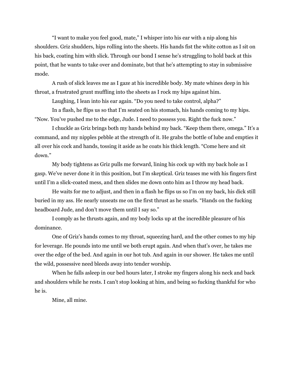"I want to make you feel good, mate," I whisper into his ear with a nip along his shoulders. Griz shudders, hips rolling into the sheets. His hands fist the white cotton as I sit on his back, coating him with slick. Through our bond I sense he's struggling to hold back at this point, that he wants to take over and dominate, but that he's attempting to stay in submissive mode.

A rush of slick leaves me as I gaze at his incredible body. My mate whines deep in his throat, a frustrated grunt muffling into the sheets as I rock my hips against him.

Laughing, I lean into his ear again. "Do you need to take control, alpha?"

In a flash, he flips us so that I'm seated on his stomach, his hands coming to my hips. "Now. You've pushed me to the edge, Jude. I need to possess you. Right the fuck now."

I chuckle as Griz brings both my hands behind my back. "Keep them there, omega." It's a command, and my nipples pebble at the strength of it. He grabs the bottle of lube and empties it all over his cock and hands, tossing it aside as he coats his thick length. "Come here and sit down."

My body tightens as Griz pulls me forward, lining his cock up with my back hole as I gasp. We've never done it in this position, but I'm skeptical. Griz teases me with his fingers first until I'm a slick-coated mess, and then slides me down onto him as I throw my head back.

He waits for me to adjust, and then in a flash he flips us so I'm on my back, his dick still buried in my ass. He nearly unseats me on the first thrust as he snarls. "Hands on the fucking headboard Jude, and don't move them until I say so."

I comply as he thrusts again, and my body locks up at the incredible pleasure of his dominance.

One of Griz's hands comes to my throat, squeezing hard, and the other comes to my hip for leverage. He pounds into me until we both erupt again. And when that's over, he takes me over the edge of the bed. And again in our hot tub. And again in our shower. He takes me until the wild, possessive need bleeds away into tender worship.

When he falls asleep in our bed hours later, I stroke my fingers along his neck and back and shoulders while he rests. I can't stop looking at him, and being so fucking thankful for who he is.

Mine, all mine.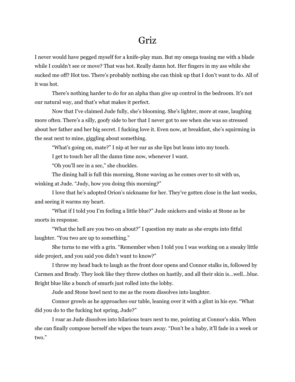### Griz

I never would have pegged myself for a knife-play man. But my omega teasing me with a blade while I couldn't see or move? That was hot. Really damn hot. Her fingers in my ass while she sucked me off? Hot too. There's probably nothing she can think up that I don't want to do. All of it was hot.

There's nothing harder to do for an alpha than give up control in the bedroom. It's not our natural way, and that's what makes it perfect.

Now that I've claimed Jude fully, she's blooming. She's lighter, more at ease, laughing more often. There's a silly, goofy side to her that I never got to see when she was so stressed about her father and her big secret. I fucking love it. Even now, at breakfast, she's squirming in the seat next to mine, giggling about something.

"What's going on, mate?" I nip at her ear as she lips but leans into my touch.

I get to touch her all the damn time now, whenever I want.

"Oh you'll see in a sec," she chuckles.

The dining hall is full this morning, Stone waving as he comes over to sit with us, winking at Jude. "Judy, how you doing this morning?"

I love that he's adopted Orion's nickname for her. They've gotten close in the last weeks, and seeing it warms my heart.

"What if I told you I'm feeling a little blue?" Jude snickers and winks at Stone as he snorts in response.

"What the hell are you two on about?" I question my mate as she erupts into fitful laughter. "You two are up to something."

She turns to me with a grin. "Remember when I told you I was working on a sneaky little side project, and you said you didn't want to know?"

I throw my head back to laugh as the front door opens and Connor stalks in, followed by Carmen and Brady. They look like they threw clothes on hastily, and all their skin is…well…blue. Bright blue like a bunch of smurfs just rolled into the lobby.

Jude and Stone howl next to me as the room dissolves into laughter.

Connor growls as he approaches our table, leaning over it with a glint in his eye. "What did you do to the fucking hot spring, Jude?"

I roar as Jude dissolves into hilarious tears next to me, pointing at Connor's skin. When she can finally compose herself she wipes the tears away. "Don't be a baby, it'll fade in a week or two."